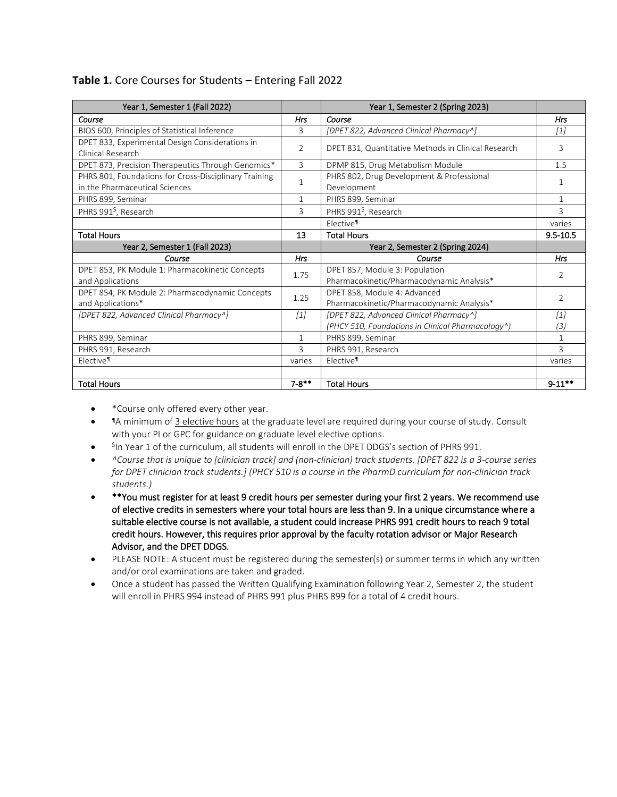| Year 1, Semester 1 (Fall 2022)                        |                | Year 1, Semester 2 (Spring 2023)                    |                   |
|-------------------------------------------------------|----------------|-----------------------------------------------------|-------------------|
| Course                                                | Hrs            | Course                                              | Hrs               |
| BIOS 600, Principles of Statistical Inference         | 3              | [DPET 822, Advanced Clinical Pharmacy^]             | [1]               |
| DPET 833, Experimental Design Considerations in       | $\overline{2}$ | DPET 831, Quantitative Methods in Clinical Research | 3                 |
| Clinical Research                                     |                |                                                     |                   |
| DPET 873, Precision Therapeutics Through Genomics*    | 3              | DPMP 815, Drug Metabolism Module                    | 1.5               |
| PHRS 801, Foundations for Cross-Disciplinary Training | 1              | PHRS 802, Drug Development & Professional           | 1                 |
| in the Pharmaceutical Sciences                        |                | Development                                         |                   |
| PHRS 899, Seminar                                     | 1              | PHRS 899, Seminar                                   | 1                 |
| PHRS 991 <sup>\$</sup> , Research                     | 3              | PHRS 991 <sup>\$</sup> , Research                   | 3                 |
|                                                       |                | Elective <sup>1</sup>                               | varies            |
| <b>Total Hours</b>                                    | 13             | <b>Total Hours</b>                                  | $9.5 - 10.5$      |
| Year 2, Semester 1 (Fall 2023)                        |                | Year 2, Semester 2 (Spring 2024)                    |                   |
| Course                                                | Hrs            | Course                                              | <b>Hrs</b>        |
| DPET 853, PK Module 1: Pharmacokinetic Concepts       | 1.75           | DPET 857, Module 3: Population                      | 2                 |
| and Applications                                      |                | Pharmacokinetic/Pharmacodynamic Analysis*           |                   |
| DPET 854, PK Module 2: Pharmacodynamic Concepts       | 1.25           | DPET 858, Module 4: Advanced                        | 2                 |
| and Applications*                                     |                | Pharmacokinetic/Pharmacodynamic Analysis*           |                   |
| [DPET 822, Advanced Clinical Pharmacy^]               | $[1]$          | [DPET 822, Advanced Clinical Pharmacy^]             | $\lceil 1 \rceil$ |
|                                                       |                | (PHCY 510, Foundations in Clinical Pharmacology^)   | (3)               |
| PHRS 899, Seminar                                     | 1              | PHRS 899, Seminar                                   |                   |
| PHRS 991, Research                                    | 3              | PHRS 991, Research                                  | 3                 |
| Elective <sup>1</sup>                                 | varies         | Elective <sup>1</sup>                               | varies            |
|                                                       |                |                                                     |                   |
| <b>Total Hours</b>                                    | $7 - 8$ **     | <b>Total Hours</b>                                  | $9 - 11**$        |

## **Table 1.** Core Courses for Students – Entering Fall 2022

- \*Course only offered every other year.
- ¶A minimum of 3 elective hours at the graduate level are required during your course of study. Consult with your PI or GPC for guidance on graduate level elective options.
- ${}^{\mathsf{Sp}}$  Year 1 of the curriculum, all students will enroll in the DPET DDGS's section of PHRS 991.
- *^Course that is unique to [clinician track] and (non-clinician) track students. [DPET 822 is a 3-course series for DPET clinician track students.] (PHCY 510 is a course in the PharmD curriculum for non-clinician track students.)*
- \*\*You must register for at least 9 credit hours per semester during your first 2 years. We recommend use of elective credits in semesters where your total hours are less than 9. In a unique circumstance where a suitable elective course is not available, a student could increase PHRS 991 credit hours to reach 9 total credit hours. However, this requires prior approval by the faculty rotation advisor or Major Research Advisor, and the DPET DDGS.
- PLEASE NOTE: A student must be registered during the semester(s) or summer terms in which any written and/or oral examinations are taken and graded.
- Once a student has passed the Written Qualifying Examination following Year 2, Semester 2, the student will enroll in PHRS 994 instead of PHRS 991 plus PHRS 899 for a total of 4 credit hours.